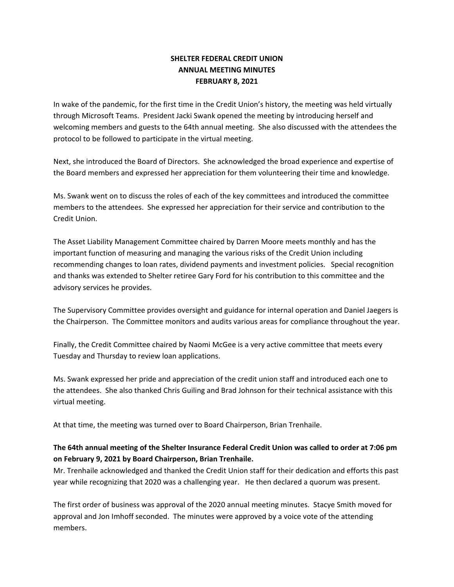# **SHELTER FEDERAL CREDIT UNION ANNUAL MEETING MINUTES FEBRUARY 8, 2021**

In wake of the pandemic, for the first time in the Credit Union's history, the meeting was held virtually through Microsoft Teams. President Jacki Swank opened the meeting by introducing herself and welcoming members and guests to the 64th annual meeting. She also discussed with the attendees the protocol to be followed to participate in the virtual meeting.

Next, she introduced the Board of Directors. She acknowledged the broad experience and expertise of the Board members and expressed her appreciation for them volunteering their time and knowledge.

Ms. Swank went on to discuss the roles of each of the key committees and introduced the committee members to the attendees. She expressed her appreciation for their service and contribution to the Credit Union.

The Asset Liability Management Committee chaired by Darren Moore meets monthly and has the important function of measuring and managing the various risks of the Credit Union including recommending changes to loan rates, dividend payments and investment policies. Special recognition and thanks was extended to Shelter retiree Gary Ford for his contribution to this committee and the advisory services he provides.

The Supervisory Committee provides oversight and guidance for internal operation and Daniel Jaegers is the Chairperson. The Committee monitors and audits various areas for compliance throughout the year.

Finally, the Credit Committee chaired by Naomi McGee is a very active committee that meets every Tuesday and Thursday to review loan applications.

Ms. Swank expressed her pride and appreciation of the credit union staff and introduced each one to the attendees. She also thanked Chris Guiling and Brad Johnson for their technical assistance with this virtual meeting.

At that time, the meeting was turned over to Board Chairperson, Brian Trenhaile.

# **The 64th annual meeting of the Shelter Insurance Federal Credit Union was called to order at 7:06 pm on February 9, 2021 by Board Chairperson, Brian Trenhaile.**

Mr. Trenhaile acknowledged and thanked the Credit Union staff for their dedication and efforts this past year while recognizing that 2020 was a challenging year. He then declared a quorum was present.

The first order of business was approval of the 2020 annual meeting minutes. Stacye Smith moved for approval and Jon Imhoff seconded. The minutes were approved by a voice vote of the attending members.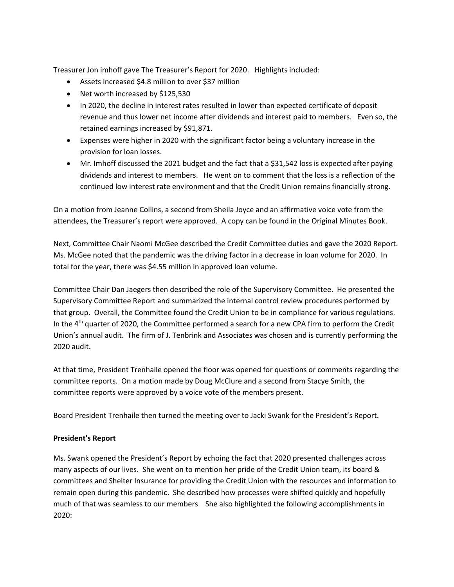Treasurer Jon imhoff gave The Treasurer's Report for 2020. Highlights included:

- Assets increased \$4.8 million to over \$37 million
- Net worth increased by \$125,530
- In 2020, the decline in interest rates resulted in lower than expected certificate of deposit revenue and thus lower net income after dividends and interest paid to members. Even so, the retained earnings increased by \$91,871.
- Expenses were higher in 2020 with the significant factor being a voluntary increase in the provision for loan losses.
- Mr. Imhoff discussed the 2021 budget and the fact that a \$31,542 loss is expected after paying dividends and interest to members. He went on to comment that the loss is a reflection of the continued low interest rate environment and that the Credit Union remains financially strong.

On a motion from Jeanne Collins, a second from Sheila Joyce and an affirmative voice vote from the attendees, the Treasurer's report were approved. A copy can be found in the Original Minutes Book.

Next, Committee Chair Naomi McGee described the Credit Committee duties and gave the 2020 Report. Ms. McGee noted that the pandemic was the driving factor in a decrease in loan volume for 2020. In total for the year, there was \$4.55 million in approved loan volume.

Committee Chair Dan Jaegers then described the role of the Supervisory Committee. He presented the Supervisory Committee Report and summarized the internal control review procedures performed by that group. Overall, the Committee found the Credit Union to be in compliance for various regulations. In the 4<sup>th</sup> quarter of 2020, the Committee performed a search for a new CPA firm to perform the Credit Union's annual audit. The firm of J. Tenbrink and Associates was chosen and is currently performing the 2020 audit.

At that time, President Trenhaile opened the floor was opened for questions or comments regarding the committee reports. On a motion made by Doug McClure and a second from Stacye Smith, the committee reports were approved by a voice vote of the members present.

Board President Trenhaile then turned the meeting over to Jacki Swank for the President's Report.

#### **President's Report**

Ms. Swank opened the President's Report by echoing the fact that 2020 presented challenges across many aspects of our lives. She went on to mention her pride of the Credit Union team, its board & committees and Shelter Insurance for providing the Credit Union with the resources and information to remain open during this pandemic. She described how processes were shifted quickly and hopefully much of that was seamless to our members She also highlighted the following accomplishments in 2020: